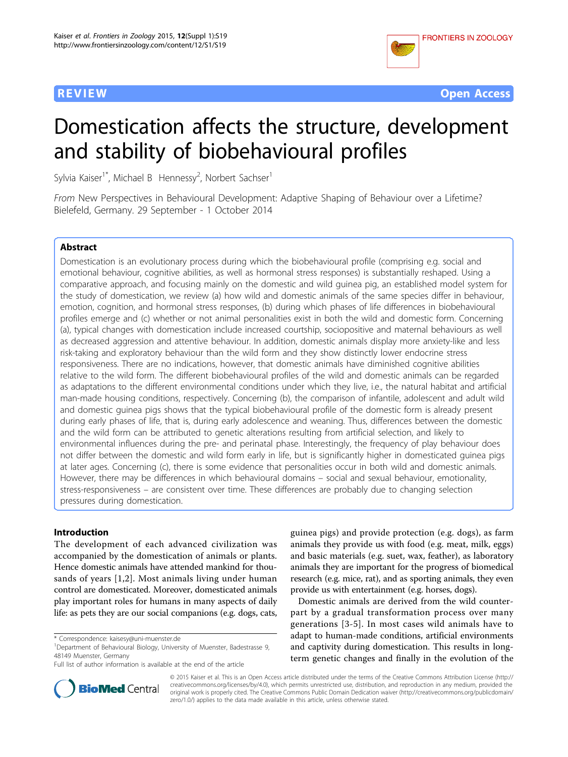



# Domestication affects the structure, development and stability of biobehavioural profiles

Sylvia Kaiser<sup>1\*</sup>, Michael B Hennessy<sup>2</sup>, Norbert Sachser<sup>1</sup>

From New Perspectives in Behavioural Development: Adaptive Shaping of Behaviour over a Lifetime? Bielefeld, Germany. 29 September - 1 October 2014

#### Abstract

Domestication is an evolutionary process during which the biobehavioural profile (comprising e.g. social and emotional behaviour, cognitive abilities, as well as hormonal stress responses) is substantially reshaped. Using a comparative approach, and focusing mainly on the domestic and wild guinea pig, an established model system for the study of domestication, we review (a) how wild and domestic animals of the same species differ in behaviour, emotion, cognition, and hormonal stress responses, (b) during which phases of life differences in biobehavioural profiles emerge and (c) whether or not animal personalities exist in both the wild and domestic form. Concerning (a), typical changes with domestication include increased courtship, sociopositive and maternal behaviours as well as decreased aggression and attentive behaviour. In addition, domestic animals display more anxiety-like and less risk-taking and exploratory behaviour than the wild form and they show distinctly lower endocrine stress responsiveness. There are no indications, however, that domestic animals have diminished cognitive abilities relative to the wild form. The different biobehavioural profiles of the wild and domestic animals can be regarded as adaptations to the different environmental conditions under which they live, i.e., the natural habitat and artificial man-made housing conditions, respectively. Concerning (b), the comparison of infantile, adolescent and adult wild and domestic guinea pigs shows that the typical biobehavioural profile of the domestic form is already present during early phases of life, that is, during early adolescence and weaning. Thus, differences between the domestic and the wild form can be attributed to genetic alterations resulting from artificial selection, and likely to environmental influences during the pre- and perinatal phase. Interestingly, the frequency of play behaviour does not differ between the domestic and wild form early in life, but is significantly higher in domesticated guinea pigs at later ages. Concerning (c), there is some evidence that personalities occur in both wild and domestic animals. However, there may be differences in which behavioural domains – social and sexual behaviour, emotionality, stress-responsiveness – are consistent over time. These differences are probably due to changing selection pressures during domestication.

#### Introduction

The development of each advanced civilization was accompanied by the domestication of animals or plants. Hence domestic animals have attended mankind for thousands of years [\[1,2](#page-7-0)]. Most animals living under human control are domesticated. Moreover, domesticated animals play important roles for humans in many aspects of daily life: as pets they are our social companions (e.g. dogs, cats,

guinea pigs) and provide protection (e.g. dogs), as farm animals they provide us with food (e.g. meat, milk, eggs) and basic materials (e.g. suet, wax, feather), as laboratory animals they are important for the progress of biomedical research (e.g. mice, rat), and as sporting animals, they even provide us with entertainment (e.g. horses, dogs).

Domestic animals are derived from the wild counterpart by a gradual transformation process over many generations [[3-5\]](#page-7-0). In most cases wild animals have to adapt to human-made conditions, artificial environments and captivity during domestication. This results in longterm genetic changes and finally in the evolution of the



© 2015 Kaiser et al. This is an Open Access article distributed under the terms of the Creative Commons Attribution License [\(http://](http://creativecommons.org/licenses/by/4.0) [creativecommons.org/licenses/by/4.0](http://creativecommons.org/licenses/by/4.0)), which permits unrestricted use, distribution, and reproduction in any medium, provided the original work is properly cited. The Creative Commons Public Domain Dedication waiver ([http://creativecommons.org/publicdomain/](http://creativecommons.org/publicdomain/zero/1.0/) [zero/1.0/](http://creativecommons.org/publicdomain/zero/1.0/)) applies to the data made available in this article, unless otherwise stated.

<sup>\*</sup> Correspondence: [kaisesy@uni-muenster.de](mailto:kaisesy@uni-muenster.de)

<sup>&</sup>lt;sup>1</sup>Department of Behavioural Biology, University of Muenster, Badestrasse 9, 48149 Muenster, Germany

Full list of author information is available at the end of the article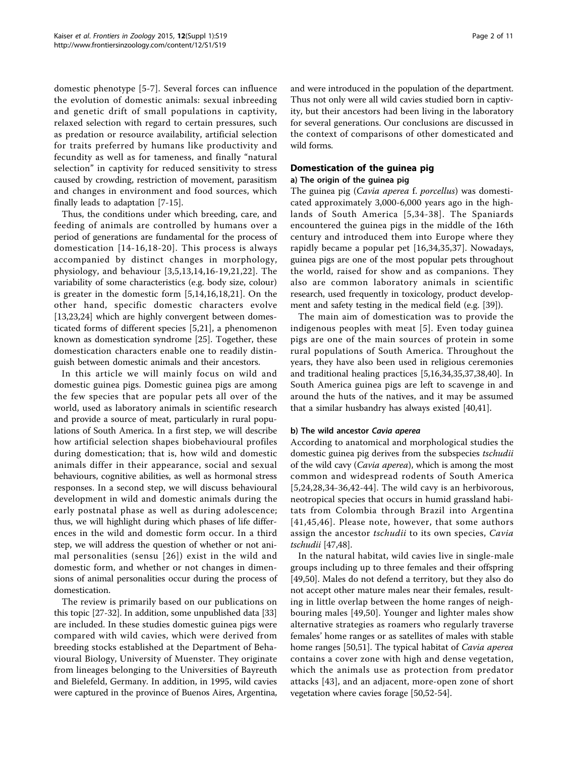domestic phenotype [[5-](#page-7-0)[7\]](#page-8-0). Several forces can influence the evolution of domestic animals: sexual inbreeding and genetic drift of small populations in captivity, relaxed selection with regard to certain pressures, such as predation or resource availability, artificial selection for traits preferred by humans like productivity and fecundity as well as for tameness, and finally "natural selection" in captivity for reduced sensitivity to stress caused by crowding, restriction of movement, parasitism and changes in environment and food sources, which finally leads to adaptation [[7-15\]](#page-8-0).

Thus, the conditions under which breeding, care, and feeding of animals are controlled by humans over a period of generations are fundamental for the process of domestication [[14-16](#page-8-0),[18-20](#page-8-0)]. This process is always accompanied by distinct changes in morphology, physiology, and behaviour [[3,5](#page-7-0)[,13,14](#page-8-0),[16-19,21](#page-8-0),[22\]](#page-8-0). The variability of some characteristics (e.g. body size, colour) is greater in the domestic form [[5,](#page-7-0)[14](#page-8-0),[16,18,21](#page-8-0)]. On the other hand, specific domestic characters evolve [[13,23,24](#page-8-0)] which are highly convergent between domesticated forms of different species [[5,](#page-7-0)[21](#page-8-0)], a phenomenon known as domestication syndrome [[25\]](#page-8-0). Together, these domestication characters enable one to readily distinguish between domestic animals and their ancestors.

In this article we will mainly focus on wild and domestic guinea pigs. Domestic guinea pigs are among the few species that are popular pets all over of the world, used as laboratory animals in scientific research and provide a source of meat, particularly in rural populations of South America. In a first step, we will describe how artificial selection shapes biobehavioural profiles during domestication; that is, how wild and domestic animals differ in their appearance, social and sexual behaviours, cognitive abilities, as well as hormonal stress responses. In a second step, we will discuss behavioural development in wild and domestic animals during the early postnatal phase as well as during adolescence; thus, we will highlight during which phases of life differences in the wild and domestic form occur. In a third step, we will address the question of whether or not animal personalities (sensu [[26\]](#page-8-0)) exist in the wild and domestic form, and whether or not changes in dimensions of animal personalities occur during the process of domestication.

The review is primarily based on our publications on this topic [[27](#page-8-0)-[32](#page-8-0)]. In addition, some unpublished data [[33](#page-8-0)] are included. In these studies domestic guinea pigs were compared with wild cavies, which were derived from breeding stocks established at the Department of Behavioural Biology, University of Muenster. They originate from lineages belonging to the Universities of Bayreuth and Bielefeld, Germany. In addition, in 1995, wild cavies were captured in the province of Buenos Aires, Argentina, and were introduced in the population of the department. Thus not only were all wild cavies studied born in captivity, but their ancestors had been living in the laboratory for several generations. Our conclusions are discussed in the context of comparisons of other domesticated and wild forms.

## Domestication of the guinea pig

#### a) The origin of the guinea pig

The guinea pig (Cavia aperea f. porcellus) was domesticated approximately 3,000-6,000 years ago in the highlands of South America [[5](#page-7-0),[34-38](#page-8-0)]. The Spaniards encountered the guinea pigs in the middle of the 16th century and introduced them into Europe where they rapidly became a popular pet [[16,34](#page-8-0),[35,37](#page-8-0)]. Nowadays, guinea pigs are one of the most popular pets throughout the world, raised for show and as companions. They also are common laboratory animals in scientific research, used frequently in toxicology, product development and safety testing in the medical field (e.g. [\[39](#page-8-0)]).

The main aim of domestication was to provide the indigenous peoples with meat [\[5\]](#page-7-0). Even today guinea pigs are one of the main sources of protein in some rural populations of South America. Throughout the years, they have also been used in religious ceremonies and traditional healing practices [\[5](#page-7-0)[,16,34,35,37,38,40](#page-8-0)]. In South America guinea pigs are left to scavenge in and around the huts of the natives, and it may be assumed that a similar husbandry has always existed [[40,41](#page-8-0)].

#### b) The wild ancestor Cavia aperea

According to anatomical and morphological studies the domestic guinea pig derives from the subspecies tschudii of the wild cavy (Cavia aperea), which is among the most common and widespread rodents of South America [[5](#page-7-0),[24,28](#page-8-0),[34](#page-8-0)-[36,42-44\]](#page-8-0). The wild cavy is an herbivorous, neotropical species that occurs in humid grassland habitats from Colombia through Brazil into Argentina [[41](#page-8-0),[45](#page-8-0),[46\]](#page-8-0). Please note, however, that some authors assign the ancestor *tschudii* to its own species, Cavia tschudii [[47,48](#page-8-0)].

In the natural habitat, wild cavies live in single-male groups including up to three females and their offspring [[49,50\]](#page-8-0). Males do not defend a territory, but they also do not accept other mature males near their females, resulting in little overlap between the home ranges of neighbouring males [[49](#page-8-0),[50\]](#page-8-0). Younger and lighter males show alternative strategies as roamers who regularly traverse females' home ranges or as satellites of males with stable home ranges [\[50,51](#page-8-0)]. The typical habitat of *Cavia aperea* contains a cover zone with high and dense vegetation, which the animals use as protection from predator attacks [[43](#page-8-0)], and an adjacent, more-open zone of short vegetation where cavies forage [[50,52-54\]](#page-8-0).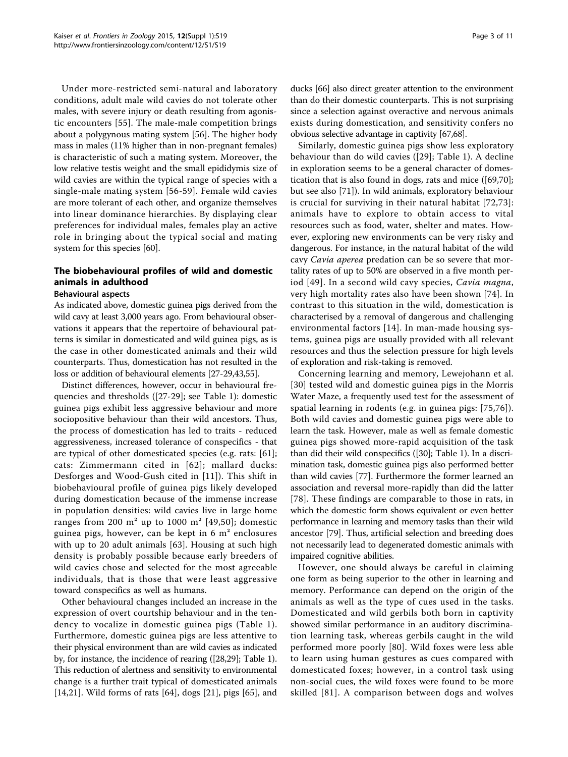Under more-restricted semi-natural and laboratory conditions, adult male wild cavies do not tolerate other males, with severe injury or death resulting from agonistic encounters [[55](#page-8-0)]. The male-male competition brings about a polygynous mating system [\[56](#page-8-0)]. The higher body mass in males (11% higher than in non-pregnant females) is characteristic of such a mating system. Moreover, the low relative testis weight and the small epididymis size of wild cavies are within the typical range of species with a single-male mating system [\[56-59\]](#page-8-0). Female wild cavies are more tolerant of each other, and organize themselves into linear dominance hierarchies. By displaying clear preferences for individual males, females play an active role in bringing about the typical social and mating system for this species [\[60\]](#page-8-0).

### The biobehavioural profiles of wild and domestic animals in adulthood

#### Behavioural aspects

As indicated above, domestic guinea pigs derived from the wild cavy at least 3,000 years ago. From behavioural observations it appears that the repertoire of behavioural patterns is similar in domesticated and wild guinea pigs, as is the case in other domesticated animals and their wild counterparts. Thus, domestication has not resulted in the loss or addition of behavioural elements [\[27-29,43,55](#page-8-0)].

Distinct differences, however, occur in behavioural frequencies and thresholds ([[27-29](#page-8-0)]; see Table [1](#page-3-0)): domestic guinea pigs exhibit less aggressive behaviour and more sociopositive behaviour than their wild ancestors. Thus, the process of domestication has led to traits - reduced aggressiveness, increased tolerance of conspecifics - that are typical of other domesticated species (e.g. rats: [\[61](#page-9-0)]; cats: Zimmermann cited in [[62](#page-9-0)]; mallard ducks: Desforges and Wood-Gush cited in [\[11\]](#page-8-0)). This shift in biobehavioural profile of guinea pigs likely developed during domestication because of the immense increase in population densities: wild cavies live in large home ranges from 200  $m<sup>2</sup>$  up to 1000  $m<sup>2</sup>$  [[49](#page-8-0),[50](#page-8-0)]; domestic guinea pigs, however, can be kept in  $6 \text{ m}^2$  enclosures with up to 20 adult animals [[63](#page-9-0)]. Housing at such high density is probably possible because early breeders of wild cavies chose and selected for the most agreeable individuals, that is those that were least aggressive toward conspecifics as well as humans.

Other behavioural changes included an increase in the expression of overt courtship behaviour and in the tendency to vocalize in domestic guinea pigs (Table [1\)](#page-3-0). Furthermore, domestic guinea pigs are less attentive to their physical environment than are wild cavies as indicated by, for instance, the incidence of rearing ([\[28,29](#page-8-0)]; Table [1](#page-3-0)). This reduction of alertness and sensitivity to environmental change is a further trait typical of domesticated animals [[14,21\]](#page-8-0). Wild forms of rats [[64\]](#page-9-0), dogs [\[21](#page-8-0)], pigs [\[65](#page-9-0)], and ducks [[66](#page-9-0)] also direct greater attention to the environment than do their domestic counterparts. This is not surprising since a selection against overactive and nervous animals exists during domestication, and sensitivity confers no obvious selective advantage in captivity [[67,68\]](#page-9-0).

Similarly, domestic guinea pigs show less exploratory behaviour than do wild cavies ([[29\]](#page-8-0); Table [1](#page-3-0)). A decline in exploration seems to be a general character of domestication that is also found in dogs, rats and mice ([\[69,70](#page-9-0)]; but see also [[71\]](#page-9-0)). In wild animals, exploratory behaviour is crucial for surviving in their natural habitat [[72](#page-9-0),[73\]](#page-9-0): animals have to explore to obtain access to vital resources such as food, water, shelter and mates. However, exploring new environments can be very risky and dangerous. For instance, in the natural habitat of the wild cavy Cavia aperea predation can be so severe that mortality rates of up to 50% are observed in a five month per-iod [[49\]](#page-8-0). In a second wild cavy species, Cavia magna, very high mortality rates also have been shown [[74](#page-9-0)]. In contrast to this situation in the wild, domestication is characterised by a removal of dangerous and challenging environmental factors [[14\]](#page-8-0). In man-made housing systems, guinea pigs are usually provided with all relevant resources and thus the selection pressure for high levels of exploration and risk-taking is removed.

Concerning learning and memory, Lewejohann et al. [[30](#page-8-0)] tested wild and domestic guinea pigs in the Morris Water Maze, a frequently used test for the assessment of spatial learning in rodents (e.g. in guinea pigs: [[75](#page-9-0),[76\]](#page-9-0)). Both wild cavies and domestic guinea pigs were able to learn the task. However, male as well as female domestic guinea pigs showed more-rapid acquisition of the task than did their wild conspecifics ([\[30\]](#page-8-0); Table [1\)](#page-3-0). In a discrimination task, domestic guinea pigs also performed better than wild cavies [\[77\]](#page-9-0). Furthermore the former learned an association and reversal more-rapidly than did the latter [[78](#page-9-0)]. These findings are comparable to those in rats, in which the domestic form shows equivalent or even better performance in learning and memory tasks than their wild ancestor [\[79\]](#page-9-0). Thus, artificial selection and breeding does not necessarily lead to degenerated domestic animals with impaired cognitive abilities.

However, one should always be careful in claiming one form as being superior to the other in learning and memory. Performance can depend on the origin of the animals as well as the type of cues used in the tasks. Domesticated and wild gerbils both born in captivity showed similar performance in an auditory discrimination learning task, whereas gerbils caught in the wild performed more poorly [\[80](#page-9-0)]. Wild foxes were less able to learn using human gestures as cues compared with domesticated foxes; however, in a control task using non-social cues, the wild foxes were found to be more skilled [[81\]](#page-9-0). A comparison between dogs and wolves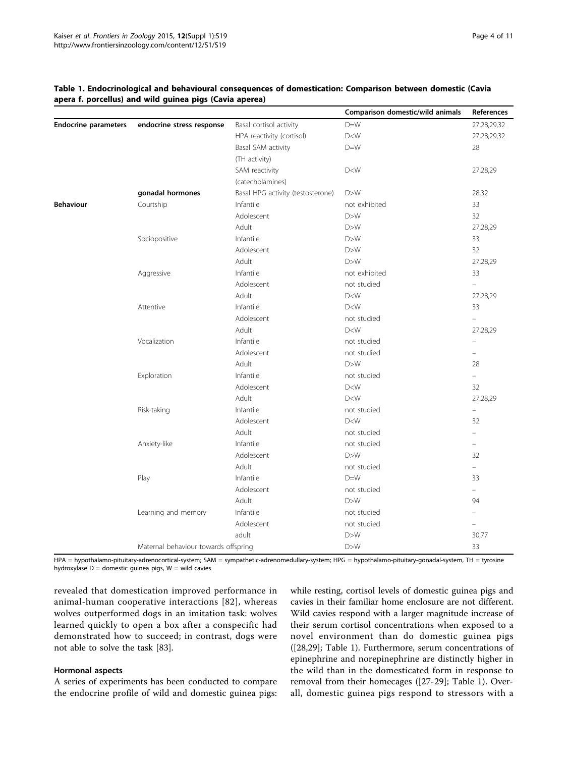|                             |                                      |                                   | Comparison domestic/wild animals   | References               |
|-----------------------------|--------------------------------------|-----------------------------------|------------------------------------|--------------------------|
| <b>Endocrine parameters</b> | endocrine stress response            | Basal cortisol activity           | $D=W$                              | 27,28,29,32              |
|                             |                                      | HPA reactivity (cortisol)         | D < W                              | 27,28,29,32              |
|                             |                                      | Basal SAM activity                | $D=$ W                             | 28                       |
|                             |                                      | (TH activity)                     |                                    |                          |
|                             |                                      | SAM reactivity                    | D <w< td=""><td>27,28,29</td></w<> | 27,28,29                 |
|                             |                                      | (catecholamines)                  |                                    |                          |
|                             | gonadal hormones                     | Basal HPG activity (testosterone) | D>W                                | 28,32                    |
| <b>Behaviour</b>            | Courtship                            | Infantile                         | not exhibited                      | 33                       |
|                             |                                      | Adolescent                        | D>W                                | 32                       |
|                             |                                      | Adult                             | D>W                                | 27,28,29                 |
|                             | Sociopositive                        | Infantile                         | D>W                                | 33                       |
|                             |                                      | Adolescent                        | D>W                                | 32                       |
|                             |                                      | Adult                             | D>W                                | 27,28,29                 |
|                             | Aggressive                           | Infantile                         | not exhibited                      | 33                       |
|                             |                                      | Adolescent                        | not studied                        | $\overline{a}$           |
|                             |                                      | Adult                             | D <w< td=""><td>27,28,29</td></w<> | 27,28,29                 |
|                             | Attentive                            | Infantile                         | D < W                              | 33                       |
|                             |                                      | Adolescent                        | not studied                        | $\equiv$                 |
|                             |                                      | Adult                             | D < W                              | 27,28,29                 |
|                             | Vocalization                         | Infantile                         | not studied                        | $\equiv$                 |
|                             |                                      | Adolescent                        | not studied                        | $\equiv$                 |
|                             |                                      | Adult                             | D>W                                | 28                       |
|                             | Exploration                          | Infantile                         | not studied                        | $=$                      |
|                             |                                      | Adolescent                        | D < W                              | 32                       |
|                             |                                      | Adult                             | D < W                              | 27,28,29                 |
|                             | Risk-taking                          | Infantile                         | not studied                        | $\qquad \qquad -$        |
|                             |                                      | Adolescent                        | D < W                              | 32                       |
|                             |                                      | Adult                             | not studied                        | L,                       |
|                             | Anxiety-like                         | Infantile                         | not studied                        | $\equiv$                 |
|                             |                                      | Adolescent                        | D>W                                | 32                       |
|                             |                                      | Adult                             | not studied                        | $\overline{a}$           |
|                             | Play                                 | Infantile                         | $D=W$                              | 33                       |
|                             |                                      | Adolescent                        | not studied                        | $\overline{\phantom{0}}$ |
|                             |                                      | Adult                             | D>W                                | 94                       |
|                             | Learning and memory                  | Infantile                         | not studied                        |                          |
|                             |                                      | Adolescent                        | not studied                        | ÷                        |
|                             |                                      | adult                             | D>W                                | 30,77                    |
|                             | Maternal behaviour towards offspring |                                   | D>W                                | 33                       |

#### <span id="page-3-0"></span>Table 1. Endocrinological and behavioural consequences of domestication: Comparison between domestic (Cavia apera f. porcellus) and wild guinea pigs (Cavia aperea)

HPA = hypothalamo-pituitary-adrenocortical-system; SAM = sympathetic-adrenomedullary-system; HPG = hypothalamo-pituitary-gonadal-system, TH = tyrosine hydroxylase  $D =$  domestic guinea pigs,  $W =$  wild cavies

revealed that domestication improved performance in animal-human cooperative interactions [[82](#page-9-0)], whereas wolves outperformed dogs in an imitation task: wolves learned quickly to open a box after a conspecific had demonstrated how to succeed; in contrast, dogs were not able to solve the task [[83\]](#page-9-0).

#### Hormonal aspects

A series of experiments has been conducted to compare the endocrine profile of wild and domestic guinea pigs: while resting, cortisol levels of domestic guinea pigs and cavies in their familiar home enclosure are not different. Wild cavies respond with a larger magnitude increase of their serum cortisol concentrations when exposed to a novel environment than do domestic guinea pigs ([\[28,29\]](#page-8-0); Table 1). Furthermore, serum concentrations of epinephrine and norepinephrine are distinctly higher in the wild than in the domesticated form in response to removal from their homecages ([[27-29\]](#page-8-0); Table 1). Overall, domestic guinea pigs respond to stressors with a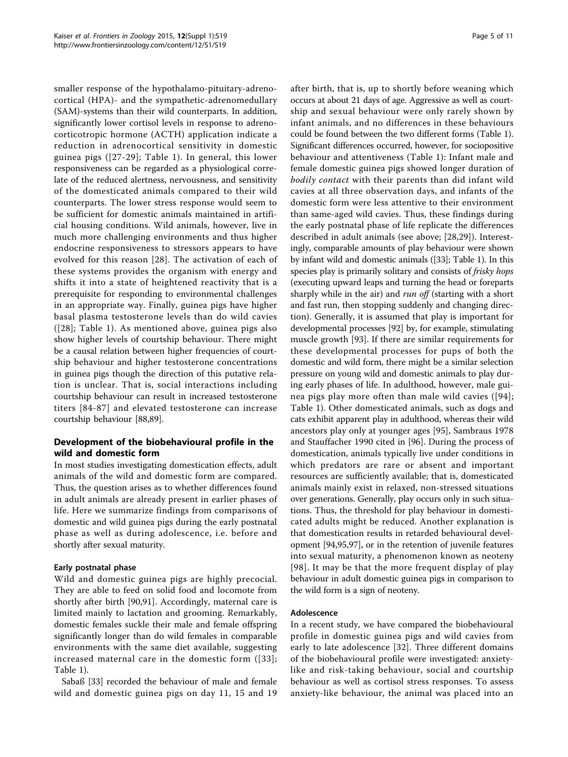smaller response of the hypothalamo-pituitary-adrenocortical (HPA)- and the sympathetic-adrenomedullary (SAM)-systems than their wild counterparts. In addition, significantly lower cortisol levels in response to adrenocorticotropic hormone (ACTH) application indicate a reduction in adrenocortical sensitivity in domestic guinea pigs ([[27](#page-8-0)-[29\]](#page-8-0); Table [1\)](#page-3-0). In general, this lower responsiveness can be regarded as a physiological correlate of the reduced alertness, nervousness, and sensitivity of the domesticated animals compared to their wild counterparts. The lower stress response would seem to be sufficient for domestic animals maintained in artificial housing conditions. Wild animals, however, live in much more challenging environments and thus higher endocrine responsiveness to stressors appears to have evolved for this reason [\[28\]](#page-8-0). The activation of each of these systems provides the organism with energy and shifts it into a state of heightened reactivity that is a prerequisite for responding to environmental challenges in an appropriate way. Finally, guinea pigs have higher basal plasma testosterone levels than do wild cavies ([[28\]](#page-8-0); Table [1](#page-3-0)). As mentioned above, guinea pigs also show higher levels of courtship behaviour. There might be a causal relation between higher frequencies of courtship behaviour and higher testosterone concentrations in guinea pigs though the direction of this putative relation is unclear. That is, social interactions including courtship behaviour can result in increased testosterone titers [[84](#page-9-0)-[87\]](#page-9-0) and elevated testosterone can increase courtship behaviour [[88,89\]](#page-9-0).

#### Development of the biobehavioural profile in the wild and domestic form

In most studies investigating domestication effects, adult animals of the wild and domestic form are compared. Thus, the question arises as to whether differences found in adult animals are already present in earlier phases of life. Here we summarize findings from comparisons of domestic and wild guinea pigs during the early postnatal phase as well as during adolescence, i.e. before and shortly after sexual maturity.

#### Early postnatal phase

Wild and domestic guinea pigs are highly precocial. They are able to feed on solid food and locomote from shortly after birth [\[90,91](#page-9-0)]. Accordingly, maternal care is limited mainly to lactation and grooming. Remarkably, domestic females suckle their male and female offspring significantly longer than do wild females in comparable environments with the same diet available, suggesting increased maternal care in the domestic form ([[33\]](#page-8-0); Table [1\)](#page-3-0).

Sabaß [[33](#page-8-0)] recorded the behaviour of male and female wild and domestic guinea pigs on day 11, 15 and 19 after birth, that is, up to shortly before weaning which occurs at about 21 days of age. Aggressive as well as courtship and sexual behaviour were only rarely shown by infant animals, and no differences in these behaviours could be found between the two different forms (Table [1](#page-3-0)). Significant differences occurred, however, for sociopositive behaviour and attentiveness (Table [1](#page-3-0)): Infant male and female domestic guinea pigs showed longer duration of bodily contact with their parents than did infant wild cavies at all three observation days, and infants of the domestic form were less attentive to their environment than same-aged wild cavies. Thus, these findings during the early postnatal phase of life replicate the differences described in adult animals (see above; [[28,29](#page-8-0)]). Interestingly, comparable amounts of play behaviour were shown by infant wild and domestic animals ([[33](#page-8-0)]; Table [1](#page-3-0)). In this species play is primarily solitary and consists of *frisky hops* (executing upward leaps and turning the head or foreparts sharply while in the air) and  $run$  off (starting with a short and fast run, then stopping suddenly and changing direction). Generally, it is assumed that play is important for developmental processes [\[92](#page-9-0)] by, for example, stimulating muscle growth [[93](#page-9-0)]. If there are similar requirements for these developmental processes for pups of both the domestic and wild form, there might be a similar selection pressure on young wild and domestic animals to play during early phases of life. In adulthood, however, male guinea pigs play more often than male wild cavies ([\[94](#page-9-0)]; Table [1](#page-3-0)). Other domesticated animals, such as dogs and cats exhibit apparent play in adulthood, whereas their wild ancestors play only at younger ages [\[95](#page-9-0)], Sambraus 1978 and Stauffacher 1990 cited in [\[96](#page-9-0)]. During the process of domestication, animals typically live under conditions in which predators are rare or absent and important resources are sufficiently available; that is, domesticated animals mainly exist in relaxed, non-stressed situations over generations. Generally, play occurs only in such situations. Thus, the threshold for play behaviour in domesticated adults might be reduced. Another explanation is that domestication results in retarded behavioural development [\[94,95,97\]](#page-9-0), or in the retention of juvenile features into sexual maturity, a phenomenon known as neoteny [[98\]](#page-9-0). It may be that the more frequent display of play behaviour in adult domestic guinea pigs in comparison to the wild form is a sign of neoteny.

#### Adolescence

In a recent study, we have compared the biobehavioural profile in domestic guinea pigs and wild cavies from early to late adolescence [[32](#page-8-0)]. Three different domains of the biobehavioural profile were investigated: anxietylike and risk-taking behaviour, social and courtship behaviour as well as cortisol stress responses. To assess anxiety-like behaviour, the animal was placed into an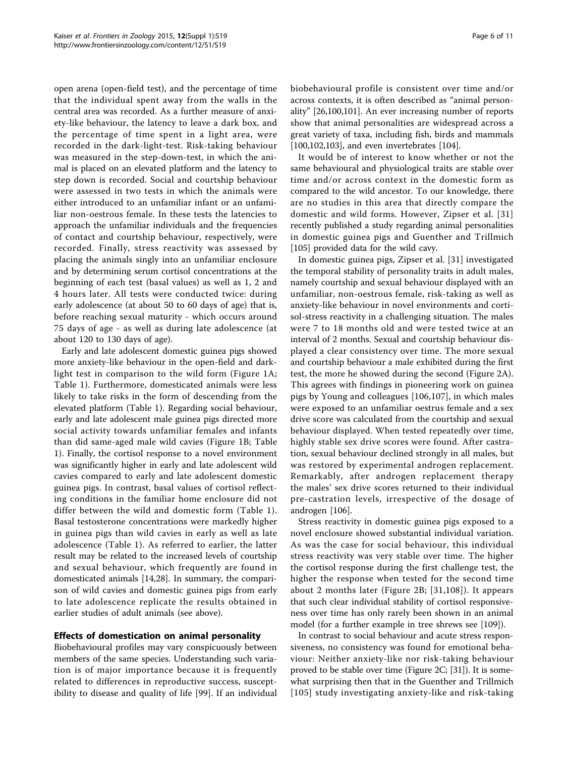open arena (open-field test), and the percentage of time that the individual spent away from the walls in the central area was recorded. As a further measure of anxiety-like behaviour, the latency to leave a dark box, and the percentage of time spent in a light area, were recorded in the dark-light-test. Risk-taking behaviour was measured in the step-down-test, in which the animal is placed on an elevated platform and the latency to step down is recorded. Social and courtship behaviour were assessed in two tests in which the animals were either introduced to an unfamiliar infant or an unfamiliar non-oestrous female. In these tests the latencies to approach the unfamiliar individuals and the frequencies of contact and courtship behaviour, respectively, were recorded. Finally, stress reactivity was assessed by placing the animals singly into an unfamiliar enclosure and by determining serum cortisol concentrations at the beginning of each test (basal values) as well as 1, 2 and 4 hours later. All tests were conducted twice: during early adolescence (at about 50 to 60 days of age) that is, before reaching sexual maturity - which occurs around 75 days of age - as well as during late adolescence (at about 120 to 130 days of age).

Early and late adolescent domestic guinea pigs showed more anxiety-like behaviour in the open-field and darklight test in comparison to the wild form (Figure [1](#page-6-0)A; Table [1\)](#page-3-0). Furthermore, domesticated animals were less likely to take risks in the form of descending from the elevated platform (Table [1](#page-3-0)). Regarding social behaviour, early and late adolescent male guinea pigs directed more social activity towards unfamiliar females and infants than did same-aged male wild cavies (Figure [1](#page-6-0)B; Table [1\)](#page-3-0). Finally, the cortisol response to a novel environment was significantly higher in early and late adolescent wild cavies compared to early and late adolescent domestic guinea pigs. In contrast, basal values of cortisol reflecting conditions in the familiar home enclosure did not differ between the wild and domestic form (Table [1\)](#page-3-0). Basal testosterone concentrations were markedly higher in guinea pigs than wild cavies in early as well as late adolescence (Table [1](#page-3-0)). As referred to earlier, the latter result may be related to the increased levels of courtship and sexual behaviour, which frequently are found in domesticated animals [[14](#page-8-0),[28](#page-8-0)]. In summary, the comparison of wild cavies and domestic guinea pigs from early to late adolescence replicate the results obtained in earlier studies of adult animals (see above).

#### Effects of domestication on animal personality

Biobehavioural profiles may vary conspicuously between members of the same species. Understanding such variation is of major importance because it is frequently related to differences in reproductive success, susceptibility to disease and quality of life [\[99](#page-9-0)]. If an individual biobehavioural profile is consistent over time and/or across contexts, it is often described as "animal personality" [[26](#page-8-0),[100,101\]](#page-9-0). An ever increasing number of reports show that animal personalities are widespread across a great variety of taxa, including fish, birds and mammals [[100,102,103](#page-9-0)], and even invertebrates [\[104](#page-9-0)].

It would be of interest to know whether or not the same behavioural and physiological traits are stable over time and/or across context in the domestic form as compared to the wild ancestor. To our knowledge, there are no studies in this area that directly compare the domestic and wild forms. However, Zipser et al. [[31](#page-8-0)] recently published a study regarding animal personalities in domestic guinea pigs and Guenther and Trillmich [[105\]](#page-9-0) provided data for the wild cavy.

In domestic guinea pigs, Zipser et al. [[31\]](#page-8-0) investigated the temporal stability of personality traits in adult males, namely courtship and sexual behaviour displayed with an unfamiliar, non-oestrous female, risk-taking as well as anxiety-like behaviour in novel environments and cortisol-stress reactivity in a challenging situation. The males were 7 to 18 months old and were tested twice at an interval of 2 months. Sexual and courtship behaviour displayed a clear consistency over time. The more sexual and courtship behaviour a male exhibited during the first test, the more he showed during the second (Figure [2](#page-7-0)A). This agrees with findings in pioneering work on guinea pigs by Young and colleagues [[106,107](#page-9-0)], in which males were exposed to an unfamiliar oestrus female and a sex drive score was calculated from the courtship and sexual behaviour displayed. When tested repeatedly over time, highly stable sex drive scores were found. After castration, sexual behaviour declined strongly in all males, but was restored by experimental androgen replacement. Remarkably, after androgen replacement therapy the males' sex drive scores returned to their individual pre-castration levels, irrespective of the dosage of androgen [\[106](#page-9-0)].

Stress reactivity in domestic guinea pigs exposed to a novel enclosure showed substantial individual variation. As was the case for social behaviour, this individual stress reactivity was very stable over time. The higher the cortisol response during the first challenge test, the higher the response when tested for the second time about 2 months later (Figure [2](#page-7-0)B; [[31](#page-8-0)[,108\]](#page-9-0)). It appears that such clear individual stability of cortisol responsiveness over time has only rarely been shown in an animal model (for a further example in tree shrews see [\[109\]](#page-9-0)).

In contrast to social behaviour and acute stress responsiveness, no consistency was found for emotional behaviour: Neither anxiety-like nor risk-taking behaviour proved to be stable over time (Figure [2C](#page-7-0); [\[31\]](#page-8-0)). It is somewhat surprising then that in the Guenther and Trillmich [[105](#page-9-0)] study investigating anxiety-like and risk-taking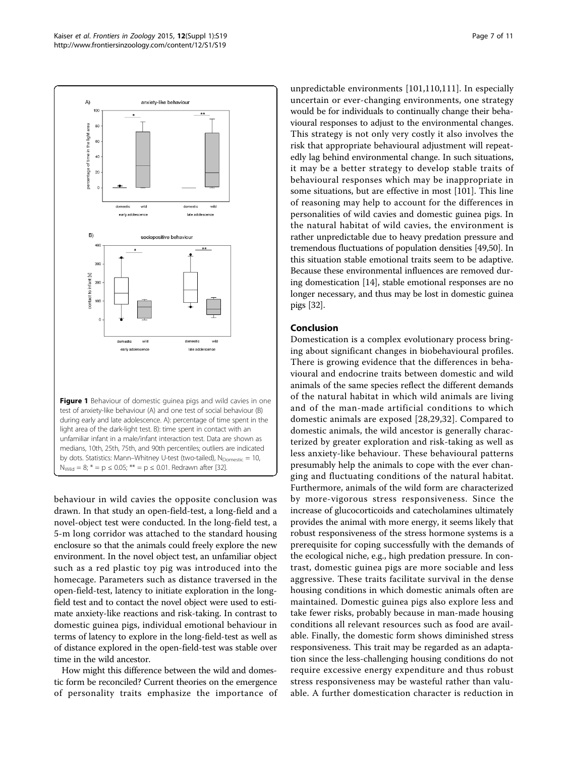<span id="page-6-0"></span>

behaviour in wild cavies the opposite conclusion was drawn. In that study an open-field-test, a long-field and a novel-object test were conducted. In the long-field test, a 5-m long corridor was attached to the standard housing enclosure so that the animals could freely explore the new environment. In the novel object test, an unfamiliar object such as a red plastic toy pig was introduced into the homecage. Parameters such as distance traversed in the open-field-test, latency to initiate exploration in the longfield test and to contact the novel object were used to estimate anxiety-like reactions and risk-taking. In contrast to domestic guinea pigs, individual emotional behaviour in terms of latency to explore in the long-field-test as well as of distance explored in the open-field-test was stable over time in the wild ancestor.

How might this difference between the wild and domestic form be reconciled? Current theories on the emergence of personality traits emphasize the importance of

unpredictable environments [[101,110,111](#page-9-0)]. In especially uncertain or ever-changing environments, one strategy would be for individuals to continually change their behavioural responses to adjust to the environmental changes. This strategy is not only very costly it also involves the risk that appropriate behavioural adjustment will repeatedly lag behind environmental change. In such situations, it may be a better strategy to develop stable traits of behavioural responses which may be inappropriate in some situations, but are effective in most [\[101](#page-9-0)]. This line of reasoning may help to account for the differences in personalities of wild cavies and domestic guinea pigs. In the natural habitat of wild cavies, the environment is rather unpredictable due to heavy predation pressure and tremendous fluctuations of population densities [[49,50](#page-8-0)]. In this situation stable emotional traits seem to be adaptive. Because these environmental influences are removed during domestication [\[14](#page-8-0)], stable emotional responses are no longer necessary, and thus may be lost in domestic guinea pigs [\[32\]](#page-8-0).

#### Conclusion

Domestication is a complex evolutionary process bringing about significant changes in biobehavioural profiles. There is growing evidence that the differences in behavioural and endocrine traits between domestic and wild animals of the same species reflect the different demands of the natural habitat in which wild animals are living and of the man-made artificial conditions to which domestic animals are exposed [[28,29](#page-8-0),[32\]](#page-8-0). Compared to domestic animals, the wild ancestor is generally characterized by greater exploration and risk-taking as well as less anxiety-like behaviour. These behavioural patterns presumably help the animals to cope with the ever changing and fluctuating conditions of the natural habitat. Furthermore, animals of the wild form are characterized by more-vigorous stress responsiveness. Since the increase of glucocorticoids and catecholamines ultimately provides the animal with more energy, it seems likely that robust responsiveness of the stress hormone systems is a prerequisite for coping successfully with the demands of the ecological niche, e.g., high predation pressure. In contrast, domestic guinea pigs are more sociable and less aggressive. These traits facilitate survival in the dense housing conditions in which domestic animals often are maintained. Domestic guinea pigs also explore less and take fewer risks, probably because in man-made housing conditions all relevant resources such as food are available. Finally, the domestic form shows diminished stress responsiveness. This trait may be regarded as an adaptation since the less-challenging housing conditions do not require excessive energy expenditure and thus robust stress responsiveness may be wasteful rather than valuable. A further domestication character is reduction in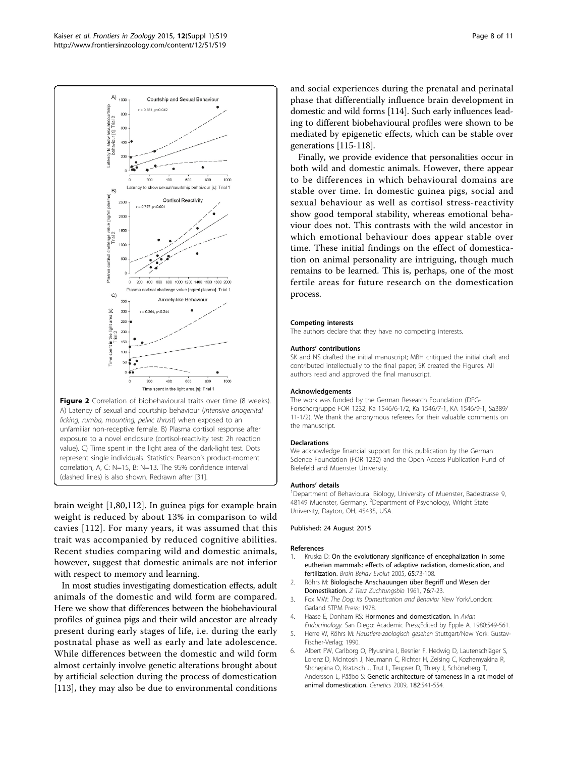<span id="page-7-0"></span>

Figure 2 Correlation of biobehavioural traits over time (8 weeks). A) Latency of sexual and courtship behaviour (intensive anogenital licking, rumba, mounting, pelvic thrust) when exposed to an unfamiliar non-receptive female. B) Plasma cortisol response after exposure to a novel enclosure (cortisol-reactivity test: 2h reaction value). C) Time spent in the light area of the dark-light test. Dots represent single individuals. Statistics: Pearson's product-moment correlation, A, C: N=15, B: N=13. The 95% confidence interval (dashed lines) is also shown. Redrawn after [[31](#page-8-0)].

brain weight [1[,80](#page-9-0),[112](#page-9-0)]. In guinea pigs for example brain weight is reduced by about 13% in comparison to wild cavies [[112\]](#page-9-0). For many years, it was assumed that this trait was accompanied by reduced cognitive abilities. Recent studies comparing wild and domestic animals, however, suggest that domestic animals are not inferior with respect to memory and learning.

In most studies investigating domestication effects, adult animals of the domestic and wild form are compared. Here we show that differences between the biobehavioural profiles of guinea pigs and their wild ancestor are already present during early stages of life, i.e. during the early postnatal phase as well as early and late adolescence. While differences between the domestic and wild form almost certainly involve genetic alterations brought about by artificial selection during the process of domestication [[113\]](#page-9-0), they may also be due to environmental conditions

and social experiences during the prenatal and perinatal phase that differentially influence brain development in domestic and wild forms [\[114](#page-9-0)]. Such early influences leading to different biobehavioural profiles were shown to be mediated by epigenetic effects, which can be stable over generations [\[115-118](#page-10-0)].

Finally, we provide evidence that personalities occur in both wild and domestic animals. However, there appear to be differences in which behavioural domains are stable over time. In domestic guinea pigs, social and sexual behaviour as well as cortisol stress-reactivity show good temporal stability, whereas emotional behaviour does not. This contrasts with the wild ancestor in which emotional behaviour does appear stable over time. These initial findings on the effect of domestication on animal personality are intriguing, though much remains to be learned. This is, perhaps, one of the most fertile areas for future research on the domestication process.

#### Competing interests

The authors declare that they have no competing interests.

#### Authors' contributions

SK and NS drafted the initial manuscript; MBH critiqued the initial draft and contributed intellectually to the final paper; SK created the Figures. All authors read and approved the final manuscript.

#### Acknowledgements

The work was funded by the German Research Foundation (DFG-Forschergruppe FOR 1232, Ka 1546/6-1/2, Ka 1546/7-1, KA 1546/9-1, Sa389/ 11-1/2). We thank the anonymous referees for their valuable comments on the manuscript.

#### Declarations

We acknowledge financial support for this publication by the German Science Foundation (FOR 1232) and the Open Access Publication Fund of Bielefeld and Muenster University.

#### Authors' details <sup>1</sup>

<sup>1</sup>Department of Behavioural Biology, University of Muenster, Badestrasse 9, 48149 Muenster, Germany. <sup>2</sup>Department of Psychology, Wright State University, Dayton, OH, 45435, USA.

#### Published: 24 August 2015

#### References

- 1. Kruska D: On the evolutionary significance of encephalization in some eutherian mammals: effects of adaptive radiation, domestication, and fertilization. Brain Behav Evolut 2005, 65:73-108.
- 2. Röhrs M: Biologische Anschauungen über Begriff und Wesen der Domestikation. Z Tierz Zuchtungsbio 1961, 76:7-23.
- 3. Fox MW: The Dog: Its Domestication and Behavior New York/London: Garland STPM Press; 1978.
- 4. Haase E, Donham RS: Hormones and domestication. In Avian Endocrinology. San Diego: Academic Press;Edited by Epple A. 1980:549-561. 5. Herre W, Röhrs M: Haustiere-zoologisch gesehen Stuttgart/New York: Gustav-
- Fischer-Verlag; 1990. 6. Albert FW, Carlborg O, Plyusnina I, Besnier F, Hedwig D, Lautenschläger S, Lorenz D, McIntosh J, Neumann C, Richter H, Zeising C, Kozhemyakina R, Shchepina O, Kratzsch J, Trut L, Teupser D, Thiery J, Schöneberg T, Andersson L, Pääbo S: [Genetic architecture of tameness in a rat model of](http://www.ncbi.nlm.nih.gov/pubmed/19363126?dopt=Abstract) [animal domestication.](http://www.ncbi.nlm.nih.gov/pubmed/19363126?dopt=Abstract) Genetics 2009, 182:541-554.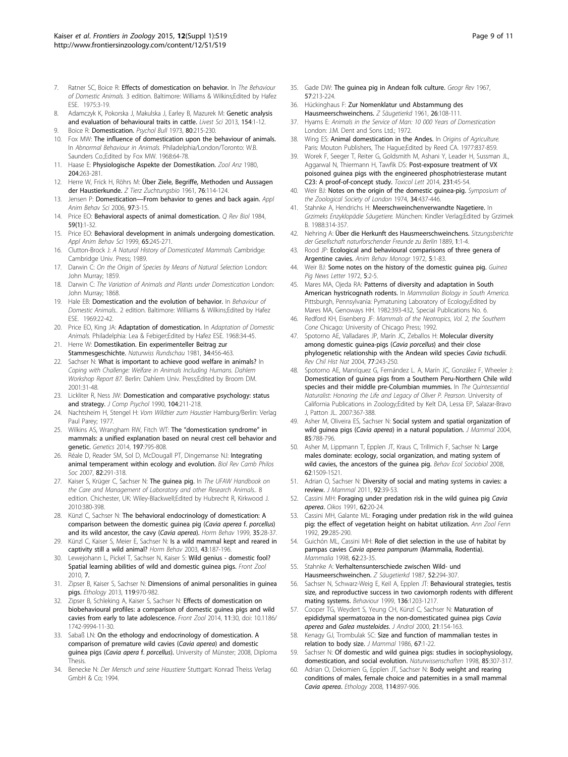- <span id="page-8-0"></span>7. Ratner SC, Boice R: Effects of domestication on behavior. In The Behaviour of Domestic Animals. 3 edition. Baltimore: Williams & Wilkins;Edited by Hafez ESE. 1975:3-19.
- 8. Adamczyk K, Pokorska J, Makulska J, Earley B, Mazurek M: Genetic analysis and evaluation of behavioural traits in cattle. Livest Sci 2013, 154:1-12.
- Boice R: [Domestication.](http://www.ncbi.nlm.nih.gov/pubmed/4731731?dopt=Abstract) Psychol Bull 1973, 80:215-230.
- 10. Fox MW: [The influence of domestication upon the behaviour of animals.](http://www.ncbi.nlm.nih.gov/pubmed/6067935?dopt=Abstract) In Abnormal Behaviour in Animals. Philadelphia/London/Toronto: W.B. Saunders Co.;Edited by Fox MW. 1968:64-78.
- 11. Haase E: Physiologische Aspekte der Domestikation. Zool Anz 1980, 204:263-281.
- 12. Herre W, Frick H, Röhrs M: Über Ziele, Begriffe, Methoden und Aussagen der Haustierkunde. Z Tierz Zuchtungsbio 1961, 76:114-124.
- 13. Jensen P: Domestication-From behavior to genes and back again. Appl Anim Behav Sci 2006, 97:3-15.
- 14. Price EO: Behavioral aspects of animal domestication. Q Rev Biol 1984, 59(1):1-32.
- 15. Price EO: Behavioral development in animals undergoing domestication. Appl Anim Behav Sci 1999, 65:245-271.
- 16. Clutton-Brock J: A Natural History of Domesticated Mammals Cambridge: Cambridge Univ. Press; 1989.
- 17. Darwin C: On the Origin of Species by Means of Natural Selection London: John Murray; 1859.
- 18. Darwin C: The Variation of Animals and Plants under Domestication London: John Murray; 1868.
- 19. Hale EB: Domestication and the evolution of behavior. In Behaviour of Domestic Animals.. 2 edition. Baltimore: Williams & Wilkins;Edited by Hafez ESE. 1969:22-42.
- 20. Price EO, King JA: Adaptation of domestication. In Adaptation of Domestic Animals. Philadelphia: Lea & Febiger;Edited by Hafez ESE. 1968:34-45.
- 21. Herre W: Domestikation. Ein experimenteller Beitrag zur Stammesgeschichte. Naturwiss Rundschau 1981, 34:456-463.
- 22. Sachser N: What is important to achieve good welfare in animals? In Coping with Challenge: Welfare in Animals Including Humans. Dahlem Workshop Report 87. Berlin: Dahlem Univ. Press;Edited by Broom DM. 2001:31-48.
- 23. Lickliter R, Ness JW: Domestication and comparative psychology: status and strategy. J Comp Psychol 1990, 104:211-218.
- 24. Nachtsheim H, Stengel H: Vom Wildtier zum Haustier Hamburg/Berlin: Verlag Paul Parey; 1977.
- 25. Wilkins AS, Wrangham RW, Fitch WT: The "[domestication syndrome](http://www.ncbi.nlm.nih.gov/pubmed/25024034?dopt=Abstract)" in [mammals: a unified explanation based on neural crest cell behavior and](http://www.ncbi.nlm.nih.gov/pubmed/25024034?dopt=Abstract) [genetic.](http://www.ncbi.nlm.nih.gov/pubmed/25024034?dopt=Abstract) Genetics 2014, 197:795-808.
- 26. Réale D, Reader SM, Sol D, McDougall PT, Dingemanse NJ: [Integrating](http://www.ncbi.nlm.nih.gov/pubmed/17437562?dopt=Abstract) [animal temperament within ecology and evolution.](http://www.ncbi.nlm.nih.gov/pubmed/17437562?dopt=Abstract) Biol Rev Camb Philos Soc 2007, 82:291-318.
- 27. Kaiser S, Krüger C, Sachser N: The guinea pig. In The UFAW Handbook on the Care and Management of Laboratory and other Research Animals.. 8 edition. Chichester, UK: Wiley-Blackwell;Edited by Hubrecht R, Kirkwood J. 2010:380-398.
- 28. Künzl C, Sachser N: [The behavioral endocrinology of domestication: A](http://www.ncbi.nlm.nih.gov/pubmed/10049600?dopt=Abstract) [comparison between the domestic guinea pig \(](http://www.ncbi.nlm.nih.gov/pubmed/10049600?dopt=Abstract)Cavia aperea f. porcellus) [and its wild ancestor, the cavy \(](http://www.ncbi.nlm.nih.gov/pubmed/10049600?dopt=Abstract)Cavia aperea). Horm Behav 1999, 35:28-37.
- 29. Künzl C, Kaiser S, Meier E, Sachser N: [Is a wild mammal kept and reared in](http://www.ncbi.nlm.nih.gov/pubmed/12614649?dopt=Abstract) [captivity still a wild animal?](http://www.ncbi.nlm.nih.gov/pubmed/12614649?dopt=Abstract) Horm Behav 2003, 43:187-196.
- 30. Lewejohann L, Pickel T, Sachser N, Kaiser S: [Wild genius domestic fool?](http://www.ncbi.nlm.nih.gov/pubmed/20334697?dopt=Abstract) [Spatial learning abilities of wild and domestic guinea pigs.](http://www.ncbi.nlm.nih.gov/pubmed/20334697?dopt=Abstract) Front Zool 2010, 7.
- 31. Zipser B, Kaiser S, Sachser N: Dimensions of animal personalities in guinea pigs. Ethology 2013, 119:970-982.
- 32. Zipser B, Schleking A, Kaiser S, Sachser N: [Effects of domestication on](http://www.ncbi.nlm.nih.gov/pubmed/24716471?dopt=Abstract) [biobehavioural profiles: a comparison of domestic guinea pigs and wild](http://www.ncbi.nlm.nih.gov/pubmed/24716471?dopt=Abstract) [cavies from early to late adolescence.](http://www.ncbi.nlm.nih.gov/pubmed/24716471?dopt=Abstract) Front Zool 2014, 11:30, doi: 10.1186/ 1742-9994-11-30.
- 33. Sabaß LN: On the ethology and endocrinology of domestication. A comparison of premature wild cavies (Cavia aperea) and domestic guinea pigs (Cavia apera f. porcellus). University of Münster; 2008, Diploma Thesis.
- 34. Benecke N: Der Mensch und seine Haustiere Stuttgart: Konrad Theiss Verlag GmbH & Co; 1994.
- 35. Gade DW: The guinea pig in Andean folk culture. Geogr Rev 1967. 57:213-224.
- 36. Hückinghaus F: Zur Nomenklatur und Abstammung des Hausmeerschweinchens. Z Säugetierkd 1961, 26:108-111.
- 37. Hyams E: Animals in the Service of Man: 10 000 Years of Domestication London: J.M. Dent and Sons Ltd.; 1972.
- 38. Wing ES: Animal domestication in the Andes. In Origins of Agriculture. Paris: Mouton Publishers, The Hague;Edited by Reed CA. 1977:837-859.
- 39. Worek F, Seeger T, Reiter G, Goldsmith M, Ashani Y, Leader H, Sussman JL, Aggarwal N, Thiermann H, Tawfik DS: [Post-exposure treatment of VX](http://www.ncbi.nlm.nih.gov/pubmed/25195526?dopt=Abstract) [poisoned guinea pigs with the engineered phosphotriesterase mutant](http://www.ncbi.nlm.nih.gov/pubmed/25195526?dopt=Abstract) [C23: A proof-of-concept study.](http://www.ncbi.nlm.nih.gov/pubmed/25195526?dopt=Abstract) Toxicol Lett 2014, 231:45-54.
- 40. Weir BJ: Notes on the origin of the domestic guinea-pig. Symposium of the Zoological Society of London 1974, 34:437-446.
- 41. Stahnke A, Hendrichs H: Meerschweinchenverwandte Nagetiere. In Grzimeks Enzyklopädie Säugetiere. München: Kindler Verlag;Edited by Grzimek B. 1988:314-357.
- 42. Nehring A: Über die Herkunft des Hausmeerschweinchens. Sitzungsberichte der Gesellschaft naturforschender Freunde zu Berlin 1889, 1:1-4.
- 43. Rood JP: Ecological and behavioural comparisons of three genera of Argentine cavies. Anim Behav Monogr 1972, 5:1-83.
- 44. Weir BJ: Some notes on the history of the domestic guinea pig. Guinea Pig News Letter 1972, 5:2-5.
- 45. Mares MA, Ojeda RA: Patterns of diversity and adaptation in South American hystricognath rodents. In Mammalian Biology in South America. Pittsburgh, Pennsylvania: Pymatuning Laboratory of Ecology;Edited by Mares MA, Genoways HH. 1982:393-432, Special Publications No. 6.
- 46. Redford KH, Eisenberg JF: Mammals of the Neotropics, Vol. 2, the Southern Cone Chicago: University of Chicago Press; 1992.
- 47. Spotorno AE, Valladares JP, Marín JC, Zeballos H: Molecular diversity among domestic guinea-pigs (Cavia porcellus) and their close phylogenetic relationship with the Andean wild species Cavia tschudii. Rev Chil Hist Nat 2004, 77:243-250.
- 48. Spotorno AE, Manríquez G, Fernández L. A, Marín JC, González F, Wheeler J: Domestication of guinea pigs from a Southern Peru-Northern Chile wild species and their middle pre-Columbian mummies. In The Quintessential Naturalist: Honoring the Life and Legacy of Oliver P. Pearson. University of California Publications in Zoology;Edited by Kelt DA, Lessa EP, Salazar-Bravo J, Patton JL. 2007:367-388.
- 49. Asher M, Oliveira ES, Sachser N: Social system and spatial organization of wild guinea pigs (Cavia aperea) in a natural population. J Mammal 2004, 85:788-796.
- 50. Asher M, Lippmann T, Epplen JT, Kraus C, Trillmich F, Sachser N: Large males dominate: ecology, social organization, and mating system of wild cavies, the ancestors of the guinea pig. Behav Ecol Sociobiol 2008, 62:1509-1521.
- 51. Adrian O, Sachser N: Diversity of social and mating systems in cavies: a review. J Mammal 2011, 92:39-53.
- 52. Cassini MH: Foraging under predation risk in the wild guinea pig Cavia aperea. Oikos 1991, 62:20-24.
- 53. Cassini MH, Galante ML: Foraging under predation risk in the wild guinea pig: the effect of vegetation height on habitat utilization. Ann Zool Fenn 1992, 29:285-290.
- 54. Guichón ML, Cassini MH: Role of diet selection in the use of habitat by pampas cavies Cavia aperea pamparum (Mammalia, Rodentia). Mammalia 1998, 62:23-35.
- 55. Stahnke A: Verhaltensunterschiede zwischen Wild- und Hausmeerschweinchen. Z Säugetierkd 1987, 52:294-307.
- 56. Sachser N, Schwarz-Weig E, Keil A, Epplen JT: Behavioural strategies, testis size, and reproductive success in two caviomorph rodents with different mating systems. Behaviour 1999, 136:1203-1217.
- 57. Cooper TG, Weydert S, Yeung CH, Künzl C, Sachser N: [Maturation of](http://www.ncbi.nlm.nih.gov/pubmed/10670529?dopt=Abstract) [epididymal spermatozoa in the non-domesticated guinea pigs](http://www.ncbi.nlm.nih.gov/pubmed/10670529?dopt=Abstract) Cavia aperea and [Galea musteloides](http://www.ncbi.nlm.nih.gov/pubmed/10670529?dopt=Abstract). J Androl 2000, 21:154-163.
- 58. Kenagy GJ, Trombulak SC: Size and function of mammalian testes in relation to body size. J Mammal 1986, 67:1-22.
- 59. Sachser N: [Of domestic and wild guinea pigs: studies in sociophysiology,](http://www.ncbi.nlm.nih.gov/pubmed/9722963?dopt=Abstract) [domestication, and social evolution.](http://www.ncbi.nlm.nih.gov/pubmed/9722963?dopt=Abstract) Naturwissenschaften 1998, 85:307-317.
- 60. Adrian O, Dekomien G, Epplen JT, Sachser N: Body weight and rearing conditions of males, female choice and paternities in a small mammal Cavia aperea. Ethology 2008, 114:897-906.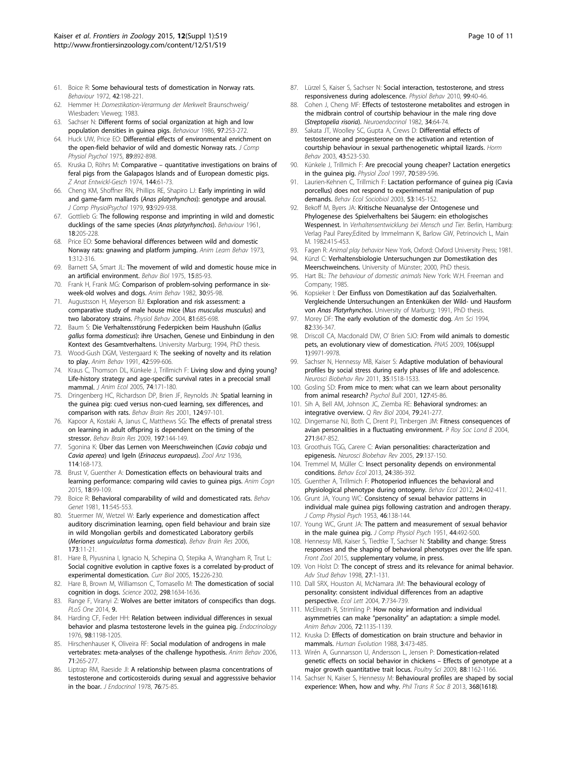- <span id="page-9-0"></span>61. Boice R: Some behavioural tests of domestication in Norway rats. Behaviour 1972, 42:198-221.
- 62. Hemmer H: Domestikation-Verarmung der Merkwelt Braunschweig/ Wiesbaden: Vieweg; 1983.
- 63. Sachser N: Different forms of social organization at high and low population densities in guinea pigs. Behaviour 1986, 97:253-272.
- 64. Huck UW, Price EO: [Differential effects of environmental enrichment on](http://www.ncbi.nlm.nih.gov/pubmed/1184796?dopt=Abstract) [the open-field behavior of wild and domestic Norway rats.](http://www.ncbi.nlm.nih.gov/pubmed/1184796?dopt=Abstract) J Comp Physiol Psychol 1975, 89:892-898.
- 65. Kruska D, Röhrs M: Comparative quantitative investigations on brains of feral pigs from the Galapagos Islands and of European domestic pigs. Z Anat Entwickl-Gesch 1974, 144:61-73.
- 66. Cheng KM, Shoffner RN, Phillips RE, Shapiro LJ: Early imprinting in wild and game-farm mallards (Anas platyrhynchos): genotype and arousal. J Comp PhysiolPsychol 1979, 93:929-938.
- 67. Gottlieb G: The following response and imprinting in wild and domestic ducklings of the same species (Anas platyrhynchos). Behaviour 1961, 18:205-228.
- 68. Price EO: Some behavioral differences between wild and domestic Norway rats: gnawing and platform jumping. Anim Learn Behav 1973, 1:312-316.
- 69. Barnett SA, Smart JL: [The movement of wild and domestic house mice in](http://www.ncbi.nlm.nih.gov/pubmed/1180802?dopt=Abstract) [an artificial environment.](http://www.ncbi.nlm.nih.gov/pubmed/1180802?dopt=Abstract) Behav Biol 1975, 15:85-93.
- 70. Frank H, Frank MG: Comparison of problem-solving performance in sixweek-old wolves and dogs. Anim Behav 1982, 30:95-98.
- 71. Augustsson H, Meyerson BJ: [Exploration and risk assessment: a](http://www.ncbi.nlm.nih.gov/pubmed/15178164?dopt=Abstract) [comparative study of male house mice \(M](http://www.ncbi.nlm.nih.gov/pubmed/15178164?dopt=Abstract)us musculus musculus) and [two laboratory strains.](http://www.ncbi.nlm.nih.gov/pubmed/15178164?dopt=Abstract) Physiol Behav 2004, 81:685-698.
- 72. Baum S: Die Verhaltensstörung Federpicken beim Haushuhn (Gallus gallus forma domesticus): ihre Ursachen, Genese und Einbindung in den Kontext des Gesamtverhaltens. University Marburg; 1994, PhD thesis.
- 73. Wood-Gush DGM, Vestergaard K: The seeking of novelty and its relation to play. Anim Behav 1991, 42:599-606.
- 74. Kraus C, Thomson DL, Künkele J, Trillmich F: Living slow and dying young? Life-history strategy and age-specific survival rates in a precocial small mammal. J Anim Ecol 2005, 74:171-180.
- 75. Dringenberg HC, Richardson DP, Brien JF, Reynolds JN: [Spatial learning in](http://www.ncbi.nlm.nih.gov/pubmed/11423170?dopt=Abstract) [the guinea pig: cued versus non-cued learning, sex differences, and](http://www.ncbi.nlm.nih.gov/pubmed/11423170?dopt=Abstract) [comparison with rats.](http://www.ncbi.nlm.nih.gov/pubmed/11423170?dopt=Abstract) Behav Brain Res 2001, 124:97-101.
- 76. Kapoor A, Kostaki A, Janus C, Matthews SG: [The effects of prenatal stress](http://www.ncbi.nlm.nih.gov/pubmed/18786572?dopt=Abstract) [on learning in adult offspring is dependent on the timing of the](http://www.ncbi.nlm.nih.gov/pubmed/18786572?dopt=Abstract) [stressor.](http://www.ncbi.nlm.nih.gov/pubmed/18786572?dopt=Abstract) Behav Brain Res 2009, 197:144-149.
- 77. Sgonina K: Über das Lernen von Meerschweinchen (Cavia cobaja und Cavia aperea) und Igeln (Erinaceus europaeus). Zool Anz 1936, 114:168-173.
- 78. Brust V, Guenther A: [Domestication effects on behavioural traits and](http://www.ncbi.nlm.nih.gov/pubmed/24997777?dopt=Abstract) [learning performance: comparing wild cavies to guinea pigs.](http://www.ncbi.nlm.nih.gov/pubmed/24997777?dopt=Abstract) Anim Cogn 2015, 18:99-109.
- 79. Boice R: [Behavioral comparability of wild and domesticated rats.](http://www.ncbi.nlm.nih.gov/pubmed/7325955?dopt=Abstract) Behav Genet 1981, 11:545-553.
- 80. Stuermer IW, Wetzel W: [Early experience and domestication affect](http://www.ncbi.nlm.nih.gov/pubmed/16846650?dopt=Abstract) [auditory discrimination learning, open field behaviour and brain size](http://www.ncbi.nlm.nih.gov/pubmed/16846650?dopt=Abstract) [in wild Mongolian gerbils and domesticated Laboratory gerbils](http://www.ncbi.nlm.nih.gov/pubmed/16846650?dopt=Abstract) ([Meriones unguiculatus](http://www.ncbi.nlm.nih.gov/pubmed/16846650?dopt=Abstract) forma domestica). Behav Brain Res 2006, 173:11-21.
- 81. Hare B, Plyusnina I, Ignacio N, Schepina O, Stepika A, Wrangham R, Trut L: [Social cognitive evolution in captive foxes is a correlated by-product of](http://www.ncbi.nlm.nih.gov/pubmed/15694305?dopt=Abstract) [experimental domestication.](http://www.ncbi.nlm.nih.gov/pubmed/15694305?dopt=Abstract) Curr Biol 2005, 15:226-230.
- 82. Hare B, Brown M, Williamson C, Tomasello M: [The domestication of social](http://www.ncbi.nlm.nih.gov/pubmed/12446914?dopt=Abstract) [cognition in dogs.](http://www.ncbi.nlm.nih.gov/pubmed/12446914?dopt=Abstract) Science 2002, 298:1634-1636.
- 83. Range F, Viranyi Z: [Wolves are better imitators of conspecifics than dogs.](http://www.ncbi.nlm.nih.gov/pubmed/24489744?dopt=Abstract) PLoS One 2014, 9.
- 84. Harding CF, Feder HH: [Relation between individual differences in sexual](http://www.ncbi.nlm.nih.gov/pubmed/1261513?dopt=Abstract) [behavior and plasma testosterone levels in the guinea pig.](http://www.ncbi.nlm.nih.gov/pubmed/1261513?dopt=Abstract) Endocrinology 1976, 98:1198-1205.
- 85. Hirschenhauser K, Oliveira RF: Social modulation of androgens in male vertebrates: meta-analyses of the challenge hypothesis. Anim Behav 2006, 71:265-277.
- 86. Liptrap RM, Raeside JI: [A relationship between plasma concentrations of](http://www.ncbi.nlm.nih.gov/pubmed/203644?dopt=Abstract) [testosterone and corticosteroids during sexual and aggresssive behavior](http://www.ncbi.nlm.nih.gov/pubmed/203644?dopt=Abstract) [in the boar.](http://www.ncbi.nlm.nih.gov/pubmed/203644?dopt=Abstract) J Endocrinol 1978, 76:75-85.
- 87. Lürzel S, Kaiser S, Sachser N: [Social interaction, testosterone, and stress](http://www.ncbi.nlm.nih.gov/pubmed/19835897?dopt=Abstract) [responsiveness during adolescence.](http://www.ncbi.nlm.nih.gov/pubmed/19835897?dopt=Abstract) Physiol Behav 2010, 99:40-46.
- 88. Cohen J, Cheng MF: [Effects of testosterone metabolites and estrogen in](http://www.ncbi.nlm.nih.gov/pubmed/7057962?dopt=Abstract) [the midbrain control of courtship behaviour in the male ring dove](http://www.ncbi.nlm.nih.gov/pubmed/7057962?dopt=Abstract) ([Streptopelia risoria](http://www.ncbi.nlm.nih.gov/pubmed/7057962?dopt=Abstract)). Neuroendocrinol 1982, 34:64-74.
- 89. Sakata JT, Woolley SC, Gupta A, Crews D: [Differential effects of](http://www.ncbi.nlm.nih.gov/pubmed/12799168?dopt=Abstract) [testosterone and progesterone on the activation and retention of](http://www.ncbi.nlm.nih.gov/pubmed/12799168?dopt=Abstract) [courtship behaviour in sexual parthenogenetic whiptail lizards.](http://www.ncbi.nlm.nih.gov/pubmed/12799168?dopt=Abstract) Horm Behav 2003, 43:523-530.
- 90. Künkele J, Trillmich F: [Are precocial young cheaper? Lactation energetics](http://www.ncbi.nlm.nih.gov/pubmed/9279926?dopt=Abstract) [in the guinea pig.](http://www.ncbi.nlm.nih.gov/pubmed/9279926?dopt=Abstract) Physiol Zool 1997, 70:589-596.
- 91. Laurien-Kehnen C, Trillmich F: Lactation performance of quinea pig (Cavia porcellus) does not respond to experimental manipulation of pup demands. Behav Ecol Sociobiol 2003, 53:145-152.
- 92. Bekoff M, Byers JA: Kritische Neuanalyse der Ontogenese und Phylogenese des Spielverhaltens bei Säugern: ein ethologisches Wespennest. In Verhaltensentwicklung bei Mensch und Tier. Berlin, Hamburg: Verlag Paul Parey;Edited by Immelmann K, Barlow GW, Petrinovich L, Main M. 1982:415-453.
- 93. Fagen R: Animal play behavior New York, Oxford: Oxford University Press; 1981.
- 94. Künzl C: Verhaltensbiologie Untersuchungen zur Domestikation des Meerschweinchens. University of Münster; 2000, PhD thesis.
- 95. Hart BL: The behaviour of domestic animals New York: W.H. Freeman and Company; 1985.
- 96. Kopsieker I: Der Einfluss von Domestikation auf das Sozialverhalten. Vergleichende Untersuchungen an Entenküken der Wild- und Hausform von Anas Platyrhynchos. University of Marburg; 1991, PhD thesis.
- 97. Morey DF: The early evolution of the domestic dog. Am Sci 1994, 82:336-347.
- 98. Driscoll CA, Macdonald DW, O' Brien SJO: [From wild animals to domestic](http://www.ncbi.nlm.nih.gov/pubmed/19528637?dopt=Abstract) [pets, an evolutionary view of domestication.](http://www.ncbi.nlm.nih.gov/pubmed/19528637?dopt=Abstract) PNAS 2009, 106(suppl 1):9971-9978.
- 99. Sachser N, Hennessy MB, Kaiser S: [Adaptive modulation of behavioural](http://www.ncbi.nlm.nih.gov/pubmed/20854842?dopt=Abstract) [profiles by social stress during early phases of life and adolescence.](http://www.ncbi.nlm.nih.gov/pubmed/20854842?dopt=Abstract) Neurosci Biobehav Rev 2011, 35:1518-1533.
- 100. Gosling SD: [From mice to men: what can we learn about personality](http://www.ncbi.nlm.nih.gov/pubmed/11271756?dopt=Abstract) [from animal research?](http://www.ncbi.nlm.nih.gov/pubmed/11271756?dopt=Abstract) Psychol Bull 2001, 127:45-86.
- 101. Sih A, Bell AM, Johnson JC, Ziemba RE: [Behavioral syndromes: an](http://www.ncbi.nlm.nih.gov/pubmed/15529965?dopt=Abstract) [integrative overview.](http://www.ncbi.nlm.nih.gov/pubmed/15529965?dopt=Abstract) Q Rev Biol 2004, 79:241-277.
- 102. Dingemanse NJ, Both C, Drent PJ, Tinbergen JM: Fitness consequences of avian personalities in a fluctuating environment. P Roy Soc Lond B 2004, 271:847-852.
- 103. Groothuis TGG, Carere C: [Avian personalities: characterization and](http://www.ncbi.nlm.nih.gov/pubmed/15652261?dopt=Abstract) [epigenesis.](http://www.ncbi.nlm.nih.gov/pubmed/15652261?dopt=Abstract) Neurosci Biobehav Rev 2005, 29:137-150.
- 104. Tremmel M, Müller C: Insect personality depends on environmental conditions. Behav Ecol 2013, 24:386-392.
- 105. Guenther A, Trillmich F: Photoperiod influences the behavioral and physiological phenotype during ontogeny. Behav Ecol 2012, 24:402-411.
- 106. Grunt JA, Young WC: Consistency of sexual behavior patterns in individual male guinea pigs following castration and androgen therapy. J Comp Physiol Psych 1953, 46:138-144.
- 107. Young WC, Grunt JA: [The pattern and measurement of sexual behavior](http://www.ncbi.nlm.nih.gov/pubmed/14888745?dopt=Abstract) [in the male guinea pig.](http://www.ncbi.nlm.nih.gov/pubmed/14888745?dopt=Abstract) J Comp Physiol Psych 1951, 44:492-500.
- 108. Hennessy MB, Kaiser S, Tiedtke T, Sachser N: Stability and change: Stress responses and the shaping of behavioral phenotypes over the life span. Front Zool 2015, supplementary volume, in press.
- 109. Von Holst D: The concept of stress and its relevance for animal behavior. Adv Stud Behav 1998, 27:1-131.
- 110. Dall SRX, Houston AI, McNamara JM: The behavioural ecology of personality: consistent individual differences from an adaptive perspective. Ecol Lett 2004, 7:734-739.
- 111. McElreath R, Strimling P: How noisy information and individual asymmetries can make "personality" an adaptation: a simple model. Anim Behav 2006, 72:1135-1139.
- 112. Kruska D: Effects of domestication on brain structure and behavior in mammals. Human Evolution 1988, 3:473-485.
- 113. Wirén A, Gunnarsson U, Andersson L, Jensen P: Domestication-related genetic effects on social behavior in chickens – Effects of genotype at a major growth quantitative trait locus. Poultry Sci 2009, 88:1162-1166.
- 114. Sachser N, Kaiser S, Hennessy M: [Behavioural profiles are shaped by social](http://www.ncbi.nlm.nih.gov/pubmed/23569292?dopt=Abstract) [experience: When, how and why.](http://www.ncbi.nlm.nih.gov/pubmed/23569292?dopt=Abstract) Phil Trans R Soc B 2013, 368(1618).